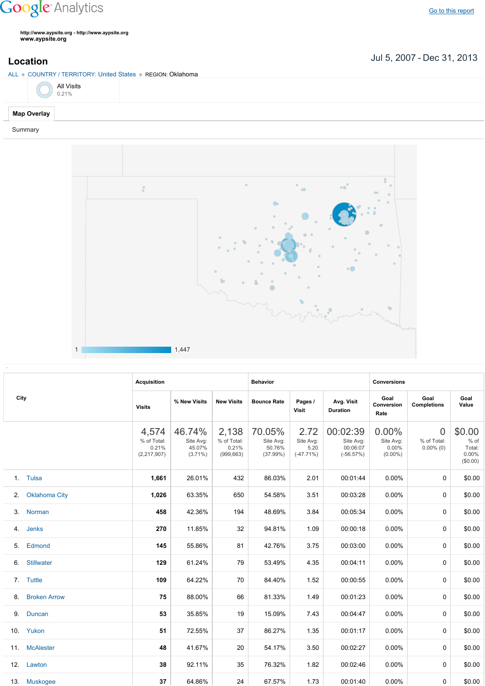## **Google** Analytics

**http://www.aypsite.org http://www.aypsite.org www.aypsite.org**

ALL » COUNTRY / TERRITORY: United States » REGION: Oklahoma



## **Map Overlay**

Summary



|      |                      | <b>Acquisition</b>                             |                                             |                                             | <b>Behavior</b>                           |                                          |                                                  | <b>Conversions</b>                              |                                               |                                                 |  |
|------|----------------------|------------------------------------------------|---------------------------------------------|---------------------------------------------|-------------------------------------------|------------------------------------------|--------------------------------------------------|-------------------------------------------------|-----------------------------------------------|-------------------------------------------------|--|
| City |                      | <b>Visits</b>                                  | % New Visits                                | <b>New Visits</b>                           | <b>Bounce Rate</b>                        | Pages /<br>Visit                         | Avg. Visit<br><b>Duration</b>                    | Goal<br>Conversion<br>Rate                      | Goal<br><b>Completions</b>                    | Goal<br>Value                                   |  |
|      |                      | 4,574<br>% of Total:<br>0.21%<br>(2, 217, 907) | 46.74%<br>Site Avg:<br>45.07%<br>$(3.71\%)$ | 2,138<br>% of Total:<br>0.21%<br>(999, 663) | 70.05%<br>Site Avg:<br>50.76%<br>(37.99%) | 2.72<br>Site Avg:<br>5.20<br>$(-47.71%)$ | 00:02:39<br>Site Avg:<br>00:06:07<br>$(-56.57%)$ | $0.00\%$<br>Site Avg:<br>$0.00\%$<br>$(0.00\%)$ | $\overline{0}$<br>% of Total:<br>$0.00\%$ (0) | \$0.00<br>$%$ of<br>Total:<br>0.00%<br>(\$0.00) |  |
|      | 1. Tulsa             | 1,661                                          | 26.01%                                      | 432                                         | 86.03%                                    | 2.01                                     | 00:01:44                                         | $0.00\%$                                        | $\Omega$                                      | \$0.00                                          |  |
| 2.   | <b>Oklahoma City</b> | 1,026                                          | 63.35%                                      | 650                                         | 54.58%                                    | 3.51                                     | 00:03:28                                         | $0.00\%$                                        | 0                                             | \$0.00                                          |  |
| 3.   | Norman               | 458                                            | 42.36%                                      | 194                                         | 48.69%                                    | 3.84                                     | 00:05:34                                         | 0.00%                                           | $\Omega$                                      | \$0.00                                          |  |
| 4.   | Jenks                | 270                                            | 11.85%                                      | 32                                          | 94.81%                                    | 1.09                                     | 00:00:18                                         | 0.00%                                           | $\Omega$                                      | \$0.00                                          |  |
| 5.   | Edmond               | 145                                            | 55.86%                                      | 81                                          | 42.76%                                    | 3.75                                     | 00:03:00                                         | 0.00%                                           | $\mathbf{0}$                                  | \$0.00                                          |  |
| 6.   | <b>Stillwater</b>    | 129                                            | 61.24%                                      | 79                                          | 53.49%                                    | 4.35                                     | 00:04:11                                         | 0.00%                                           | $\mathbf{0}$                                  | \$0.00                                          |  |
|      | 7. Tuttle            | 109                                            | 64.22%                                      | 70                                          | 84.40%                                    | 1.52                                     | 00:00:55                                         | 0.00%                                           | $\mathbf{0}$                                  | \$0.00                                          |  |
| 8.   | <b>Broken Arrow</b>  | 75                                             | 88.00%                                      | 66                                          | 81.33%                                    | 1.49                                     | 00:01:23                                         | 0.00%                                           | $\mathbf{0}$                                  | \$0.00                                          |  |
|      | 9. Duncan            | 53                                             | 35.85%                                      | 19                                          | 15.09%                                    | 7.43                                     | 00:04:47                                         | 0.00%                                           | $\Omega$                                      | \$0.00                                          |  |
|      | 10. Yukon            | 51                                             | 72.55%                                      | 37                                          | 86.27%                                    | 1.35                                     | 00:01:17                                         | 0.00%                                           | 0                                             | \$0.00                                          |  |
|      | 11. McAlester        | 48                                             | 41.67%                                      | 20                                          | 54.17%                                    | 3.50                                     | 00:02:27                                         | 0.00%                                           | $\Omega$                                      | \$0.00                                          |  |
|      | 12. Lawton           | 38                                             | 92.11%                                      | 35                                          | 76.32%                                    | 1.82                                     | 00:02:46                                         | 0.00%                                           | 0                                             | \$0.00                                          |  |
|      | 13. Muskogee         | 37                                             | 64.86%                                      | 24                                          | 67.57%                                    | 1.73                                     | 00:01:40                                         | $0.00\%$                                        | 0                                             | \$0.00                                          |  |

Jul 5, 2007 Dec 31, 2013 **Location**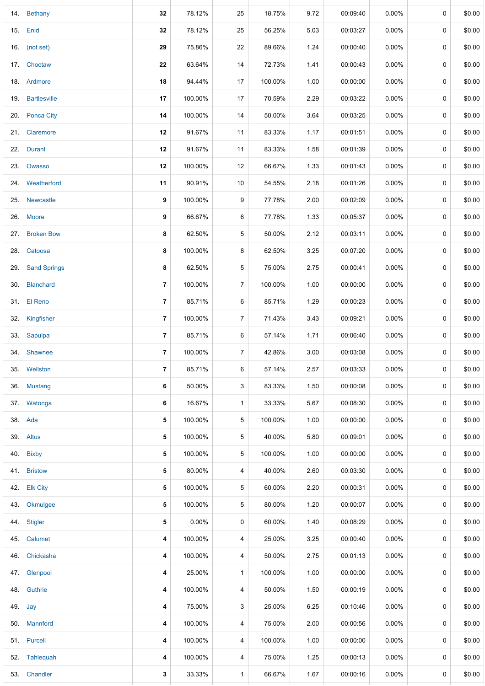| 14. Bethany    | 32                                                                                                                                                                                                                                                                                                                                                                                                                                                                                                                                                               | 78.12%  | 25             | 18.75%  | 9.72 | 00:09:40 | $0.00\%$ | $\mathbf 0$ | \$0.00 |
|----------------|------------------------------------------------------------------------------------------------------------------------------------------------------------------------------------------------------------------------------------------------------------------------------------------------------------------------------------------------------------------------------------------------------------------------------------------------------------------------------------------------------------------------------------------------------------------|---------|----------------|---------|------|----------|----------|-------------|--------|
|                |                                                                                                                                                                                                                                                                                                                                                                                                                                                                                                                                                                  |         |                |         |      |          |          |             |        |
|                | 32                                                                                                                                                                                                                                                                                                                                                                                                                                                                                                                                                               | 78.12%  | 25             | 56.25%  | 5.03 | 00:03:27 | $0.00\%$ | 0           | \$0.00 |
|                | 29                                                                                                                                                                                                                                                                                                                                                                                                                                                                                                                                                               | 75.86%  | 22             | 89.66%  | 1.24 | 00:00:40 | 0.00%    | 0           | \$0.00 |
|                | 22                                                                                                                                                                                                                                                                                                                                                                                                                                                                                                                                                               | 63.64%  | 14             | 72.73%  | 1.41 | 00:00:43 | $0.00\%$ | 0           | \$0.00 |
|                | 18                                                                                                                                                                                                                                                                                                                                                                                                                                                                                                                                                               | 94.44%  | 17             | 100.00% | 1.00 | 00:00:00 | $0.00\%$ | 0           | \$0.00 |
|                | 17                                                                                                                                                                                                                                                                                                                                                                                                                                                                                                                                                               | 100.00% | 17             | 70.59%  | 2.29 | 00:03:22 | $0.00\%$ | 0           | \$0.00 |
|                | 14                                                                                                                                                                                                                                                                                                                                                                                                                                                                                                                                                               | 100.00% | 14             | 50.00%  | 3.64 | 00:03:25 | 0.00%    | 0           | \$0.00 |
|                | 12                                                                                                                                                                                                                                                                                                                                                                                                                                                                                                                                                               | 91.67%  | 11             | 83.33%  | 1.17 | 00:01:51 | $0.00\%$ | 0           | \$0.00 |
|                | 12                                                                                                                                                                                                                                                                                                                                                                                                                                                                                                                                                               | 91.67%  | 11             | 83.33%  | 1.58 | 00:01:39 | $0.00\%$ | 0           | \$0.00 |
|                | 12                                                                                                                                                                                                                                                                                                                                                                                                                                                                                                                                                               | 100.00% | 12             | 66.67%  | 1.33 | 00:01:43 | 0.00%    | 0           | \$0.00 |
|                | 11                                                                                                                                                                                                                                                                                                                                                                                                                                                                                                                                                               | 90.91%  | 10             | 54.55%  | 2.18 | 00:01:26 | 0.00%    | 0           | \$0.00 |
|                | 9                                                                                                                                                                                                                                                                                                                                                                                                                                                                                                                                                                | 100.00% | 9              | 77.78%  | 2.00 | 00:02:09 | $0.00\%$ | 0           | \$0.00 |
|                | 9                                                                                                                                                                                                                                                                                                                                                                                                                                                                                                                                                                | 66.67%  | 6              | 77.78%  | 1.33 | 00:05:37 | $0.00\%$ | 0           | \$0.00 |
|                | 8                                                                                                                                                                                                                                                                                                                                                                                                                                                                                                                                                                | 62.50%  | 5              | 50.00%  | 2.12 | 00:03:11 | $0.00\%$ | 0           | \$0.00 |
|                | 8                                                                                                                                                                                                                                                                                                                                                                                                                                                                                                                                                                | 100.00% | 8              | 62.50%  | 3.25 | 00:07:20 | $0.00\%$ | 0           | \$0.00 |
|                | 8                                                                                                                                                                                                                                                                                                                                                                                                                                                                                                                                                                | 62.50%  | 5              | 75.00%  | 2.75 | 00:00:41 | $0.00\%$ | 0           | \$0.00 |
|                | 7                                                                                                                                                                                                                                                                                                                                                                                                                                                                                                                                                                | 100.00% | $\overline{7}$ | 100.00% | 1.00 | 00:00:00 | $0.00\%$ | 0           | \$0.00 |
|                | $\overline{7}$                                                                                                                                                                                                                                                                                                                                                                                                                                                                                                                                                   | 85.71%  | 6              | 85.71%  | 1.29 | 00:00:23 | $0.00\%$ | 0           | \$0.00 |
|                | 7                                                                                                                                                                                                                                                                                                                                                                                                                                                                                                                                                                | 100.00% | $\overline{7}$ | 71.43%  | 3.43 | 00:09:21 | 0.00%    | 0           | \$0.00 |
|                | 7                                                                                                                                                                                                                                                                                                                                                                                                                                                                                                                                                                | 85.71%  | 6              | 57.14%  | 1.71 | 00:06:40 | $0.00\%$ | 0           | \$0.00 |
|                | $\overline{7}$                                                                                                                                                                                                                                                                                                                                                                                                                                                                                                                                                   | 100.00% | $\overline{7}$ | 42.86%  | 3.00 | 00:03:08 | $0.00\%$ | 0           | \$0.00 |
| Wellston       | 7                                                                                                                                                                                                                                                                                                                                                                                                                                                                                                                                                                | 85.71%  | 6              | 57.14%  | 2.57 | 00:03:33 | $0.00\%$ | 0           | \$0.00 |
|                | 6                                                                                                                                                                                                                                                                                                                                                                                                                                                                                                                                                                | 50.00%  | 3              | 83.33%  | 1.50 | 00:00:08 | $0.00\%$ | 0           | \$0.00 |
|                | 6                                                                                                                                                                                                                                                                                                                                                                                                                                                                                                                                                                | 16.67%  | 1              | 33.33%  | 5.67 | 00:08:30 | 0.00%    | 0           | \$0.00 |
|                | 5                                                                                                                                                                                                                                                                                                                                                                                                                                                                                                                                                                | 100.00% | 5              | 100.00% | 1.00 | 00:00:00 | $0.00\%$ | 0           | \$0.00 |
|                | 5                                                                                                                                                                                                                                                                                                                                                                                                                                                                                                                                                                | 100.00% | 5              | 40.00%  | 5.80 | 00:09:01 | $0.00\%$ | 0           | \$0.00 |
|                | 5                                                                                                                                                                                                                                                                                                                                                                                                                                                                                                                                                                | 100.00% | 5              | 100.00% | 1.00 | 00:00:00 | $0.00\%$ | 0           | \$0.00 |
|                | 5                                                                                                                                                                                                                                                                                                                                                                                                                                                                                                                                                                | 80.00%  | 4              | 40.00%  | 2.60 | 00:03:30 | $0.00\%$ | 0           | \$0.00 |
|                | 5                                                                                                                                                                                                                                                                                                                                                                                                                                                                                                                                                                | 100.00% | 5              | 60.00%  | 2.20 | 00:00:31 | $0.00\%$ | 0           | \$0.00 |
| Okmulgee       | 5                                                                                                                                                                                                                                                                                                                                                                                                                                                                                                                                                                | 100.00% | 5              | 80.00%  | 1.20 | 00:00:07 | $0.00\%$ | 0           | \$0.00 |
| <b>Stigler</b> | 5                                                                                                                                                                                                                                                                                                                                                                                                                                                                                                                                                                | 0.00%   | 0              | 60.00%  | 1.40 | 00:08:29 | $0.00\%$ | 0           | \$0.00 |
|                | 4                                                                                                                                                                                                                                                                                                                                                                                                                                                                                                                                                                | 100.00% | 4              | 25.00%  | 3.25 | 00:00:40 | $0.00\%$ | 0           | \$0.00 |
| Chickasha      | 4                                                                                                                                                                                                                                                                                                                                                                                                                                                                                                                                                                | 100.00% | 4              | 50.00%  | 2.75 | 00:01:13 | $0.00\%$ | 0           | \$0.00 |
| Glenpool       | 4                                                                                                                                                                                                                                                                                                                                                                                                                                                                                                                                                                | 25.00%  | $\mathbf{1}$   | 100.00% | 1.00 | 00:00:00 | $0.00\%$ | 0           | \$0.00 |
|                | 4                                                                                                                                                                                                                                                                                                                                                                                                                                                                                                                                                                | 100.00% | 4              | 50.00%  | 1.50 | 00:00:19 | $0.00\%$ | 0           | \$0.00 |
|                | 4                                                                                                                                                                                                                                                                                                                                                                                                                                                                                                                                                                | 75.00%  | 3              | 25.00%  | 6.25 | 00:10:46 | $0.00\%$ | 0           | \$0.00 |
|                | 4                                                                                                                                                                                                                                                                                                                                                                                                                                                                                                                                                                | 100.00% | 4              | 75.00%  | 2.00 | 00:00:56 | $0.00\%$ | 0           | \$0.00 |
|                | 4                                                                                                                                                                                                                                                                                                                                                                                                                                                                                                                                                                | 100.00% | 4              | 100.00% | 1.00 | 00:00:00 | $0.00\%$ | 0           | \$0.00 |
|                | 4                                                                                                                                                                                                                                                                                                                                                                                                                                                                                                                                                                | 100.00% | 4              | 75.00%  | 1.25 | 00:00:13 | $0.00\%$ | 0           | \$0.00 |
|                | 3                                                                                                                                                                                                                                                                                                                                                                                                                                                                                                                                                                | 33.33%  | $\mathbf{1}$   | 66.67%  | 1.67 | 00:00:16 | $0.00\%$ | 0           | \$0.00 |
| 35.            | 15. Enid<br>16. (not set)<br>17. Choctaw<br>18. Ardmore<br>19. Bartlesville<br>20. Ponca City<br>21. Claremore<br>22. Durant<br>23. Owasso<br>24. Weatherford<br>25. Newcastle<br>26. Moore<br>27. Broken Bow<br>28. Catoosa<br>29. Sand Springs<br>30. Blanchard<br>31. El Reno<br>32. Kingfisher<br>33. Sapulpa<br>34. Shawnee<br>36. Mustang<br>37. Watonga<br>38. Ada<br>39. Altus<br>40. Bixby<br>41. Bristow<br>42. Elk City<br>43.<br>44.<br>45. Calumet<br>47.<br>48. Guthrie<br>49. Jay<br>50. Mannford<br>51. Purcell<br>52. Tahlequah<br>53. Chandler |         |                |         |      |          |          |             |        |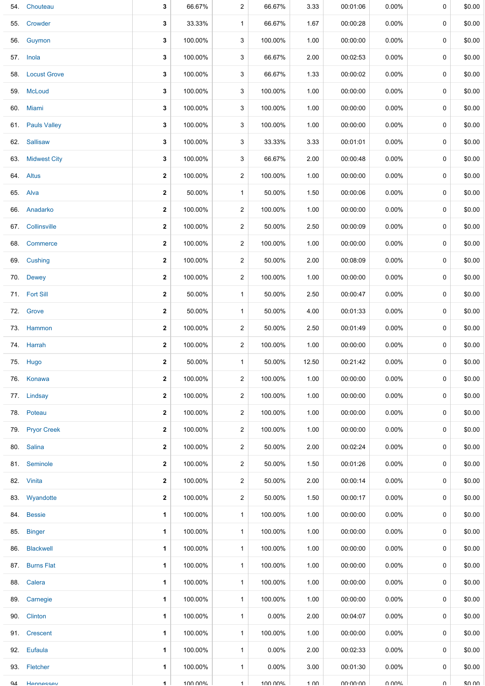|     | 54. Chouteau     | 3            | 66.67%  | 2              | 66.67%   | 3.33            | 00:01:06 | $0.00\%$ | 0           | \$0.00 |
|-----|------------------|--------------|---------|----------------|----------|-----------------|----------|----------|-------------|--------|
| 55. | Crowder          | 3            | 33.33%  | $\mathbf{1}$   | 66.67%   | 1.67            | 00:00:28 | $0.00\%$ | 0           | \$0.00 |
|     | 56. Guymon       | 3            | 100.00% | 3              | 100.00%  | 1.00            | 00:00:00 | $0.00\%$ | 0           | \$0.00 |
|     | 57. Inola        | 3            | 100.00% | 3              | 66.67%   | 2.00            | 00:02:53 | $0.00\%$ | 0           | \$0.00 |
|     | 58. Locust Grove | 3            | 100.00% | 3              | 66.67%   | 1.33            | 00:00:02 | 0.00%    | 0           | \$0.00 |
|     | 59. McLoud       | 3            | 100.00% | 3              | 100.00%  | 1.00            | 00:00:00 | $0.00\%$ | 0           | \$0.00 |
|     | 60. Miami        | 3            | 100.00% | 3              | 100.00%  | 1.00            | 00:00:00 | $0.00\%$ | 0           | \$0.00 |
|     | 61. Pauls Valley | 3            | 100.00% | 3              | 100.00%  | 1.00            | 00:00:00 | $0.00\%$ | 0           | \$0.00 |
|     | 62. Sallisaw     | 3            | 100.00% | 3              | 33.33%   | 3.33            | 00:01:01 | $0.00\%$ | 0           | \$0.00 |
|     | 63. Midwest City | 3            | 100.00% | 3              | 66.67%   | 2.00            | 00:00:48 | $0.00\%$ | 0           | \$0.00 |
|     | 64. Altus        | $\mathbf 2$  | 100.00% | $\overline{2}$ | 100.00%  | 1.00            | 00:00:00 | $0.00\%$ | 0           | \$0.00 |
|     | 65. Alva         | 2            | 50.00%  | $\mathbf{1}$   | 50.00%   | 1.50            | 00:00:06 | $0.00\%$ | $\mathbf 0$ | \$0.00 |
|     | 66. Anadarko     | $\mathbf{2}$ | 100.00% | $\overline{2}$ | 100.00%  | 1.00            | 00:00:00 | $0.00\%$ | 0           | \$0.00 |
|     | 67. Collinsville | 2            | 100.00% | 2              | 50.00%   | 2.50            | 00:00:09 | $0.00\%$ | 0           | \$0.00 |
| 68. | Commerce         | $\mathbf 2$  | 100.00% | $\overline{2}$ | 100.00%  | 1.00            | 00:00:00 | $0.00\%$ | 0           | \$0.00 |
|     | 69. Cushing      | 2            | 100.00% | $\overline{2}$ | 50.00%   | 2.00            | 00:08:09 | 0.00%    | 0           | \$0.00 |
|     | 70. Dewey        | $\mathbf 2$  | 100.00% | $\overline{2}$ | 100.00%  | 1.00            | 00:00:00 | $0.00\%$ | 0           | \$0.00 |
|     | 71. Fort Sill    | 2            | 50.00%  | $\mathbf{1}$   | 50.00%   | 2.50            | 00:00:47 | 0.00%    | 0           | \$0.00 |
|     | 72. Grove        | 2            | 50.00%  | $\mathbf{1}$   | 50.00%   | 4.00            | 00:01:33 | $0.00\%$ | 0           | \$0.00 |
|     | 73. Hammon       | 2            | 100.00% | $\overline{2}$ | 50.00%   | 2.50            | 00:01:49 | 0.00%    | 0           | \$0.00 |
|     | 74. Harrah       | 2            | 100.00% | $\overline{2}$ | 100.00%  | 1.00            | 00:00:00 | $0.00\%$ | 0           | \$0.00 |
|     | 75. Hugo         | $\mathbf{2}$ | 50.00%  | $\mathbf{1}$   | 50.00%   | 12.50           | 00:21:42 | $0.00\%$ | 0           | \$0.00 |
|     | 76. Konawa       | $\mathbf{2}$ | 100.00% | $\overline{2}$ | 100.00%  | 1.00            | 00:00:00 | $0.00\%$ | $\mathbf 0$ | \$0.00 |
|     | 77. Lindsay      | $\mathbf 2$  | 100.00% | $\overline{a}$ | 100.00%  | 1.00            | 00:00:00 | $0.00\%$ | 0           | \$0.00 |
|     | 78. Poteau       | $\mathbf{2}$ | 100.00% | $\overline{2}$ | 100.00%  | 1.00            | 00:00:00 | $0.00\%$ | $\mathbf 0$ | \$0.00 |
|     | 79. Pryor Creek  | $\mathbf{2}$ | 100.00% | $\overline{2}$ | 100.00%  | 1.00            | 00:00:00 | $0.00\%$ | 0           | \$0.00 |
|     | 80. Salina       | 2            | 100.00% | $\overline{2}$ | 50.00%   | 2.00            | 00:02:24 | $0.00\%$ | 0           | \$0.00 |
|     | 81. Seminole     | $\mathbf{2}$ | 100.00% | $\overline{2}$ | 50.00%   | 1.50            | 00:01:26 | $0.00\%$ | 0           | \$0.00 |
|     | 82. Vinita       | $\mathbf{2}$ | 100.00% | 2              | 50.00%   | 2.00            | 00:00:14 | $0.00\%$ | 0           | \$0.00 |
|     | 83. Wyandotte    | $\mathbf{2}$ | 100.00% | $\overline{2}$ | 50.00%   | 1.50            | 00:00:17 | $0.00\%$ | 0           | \$0.00 |
|     | 84. Bessie       | 1            | 100.00% | $\mathbf{1}$   | 100.00%  | 1.00            | 00:00:00 | $0.00\%$ | 0           | \$0.00 |
|     | 85. Binger       | 1            | 100.00% | $\mathbf{1}$   | 100.00%  | 1.00            | 00:00:00 | $0.00\%$ | 0           | \$0.00 |
|     | 86. Blackwell    | 1            | 100.00% | $\mathbf{1}$   | 100.00%  | 1.00            | 00:00:00 | $0.00\%$ | 0           | \$0.00 |
|     | 87. Burns Flat   | 1            | 100.00% | $\mathbf{1}$   | 100.00%  | 1.00            | 00:00:00 | $0.00\%$ | 0           | \$0.00 |
|     | 88. Calera       | 1            | 100.00% | $\mathbf{1}$   | 100.00%  | 1.00            | 00:00:00 | $0.00\%$ | 0           | \$0.00 |
|     | 89. Carnegie     | 1            | 100.00% | $\mathbf{1}$   | 100.00%  | 1.00            | 00:00:00 | $0.00\%$ | 0           | \$0.00 |
|     | 90. Clinton      | 1            | 100.00% | $\mathbf{1}$   | $0.00\%$ | 2.00            | 00:04:07 | $0.00\%$ | 0           | \$0.00 |
|     | 91. Crescent     | 1            | 100.00% | $\mathbf{1}$   | 100.00%  | 1.00            | 00:00:00 | $0.00\%$ | 0           | \$0.00 |
|     | 92. Eufaula      | 1            | 100.00% | $\mathbf{1}$   | $0.00\%$ | 2.00            | 00:02:33 | $0.00\%$ | 0           | \$0.00 |
|     | 93. Fletcher     | 1            | 100.00% | $\mathbf{1}$   | $0.00\%$ | 3.00            | 00:01:30 | $0.00\%$ | $\mathbf 0$ | \$0.00 |
| QΔ  | Hennessey        | 1            | 100 00% | $\mathbf{1}$   | 100 00%  | $1 \cap \Omega$ | no no no | በ በበ%    | U           | ደበ በበ  |